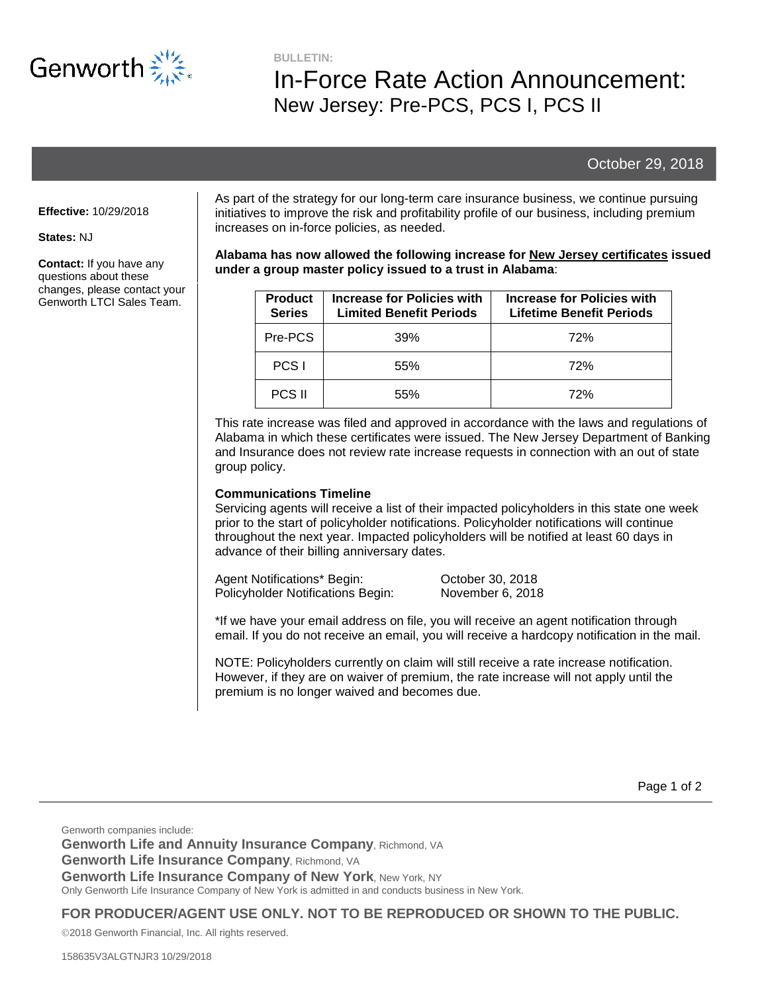

**BULLETIN:**

# In-Force Rate Action Announcement: New Jersey: Pre-PCS, PCS I, PCS II

## October 29, 2018

#### **Effective:** 10/29/2018

#### **States:** NJ

**Contact:** If you have any questions about these changes, please contact your Genworth LTCI Sales Team.

As part of the strategy for our long-term care insurance business, we continue pursuing initiatives to improve the risk and profitability profile of our business, including premium increases on in-force policies, as needed.

#### **Alabama has now allowed the following increase for New Jersey certificates issued under a group master policy issued to a trust in Alabama**:

| <b>Product</b><br><b>Series</b> | Increase for Policies with<br><b>Limited Benefit Periods</b> | Increase for Policies with<br><b>Lifetime Benefit Periods</b> |
|---------------------------------|--------------------------------------------------------------|---------------------------------------------------------------|
| Pre-PCS                         | 39%                                                          | 72%                                                           |
| PCS <sub>1</sub>                | 55%                                                          | 72%                                                           |
| <b>PCS II</b>                   | 55%                                                          | 72%                                                           |

This rate increase was filed and approved in accordance with the laws and regulations of Alabama in which these certificates were issued. The New Jersey Department of Banking and Insurance does not review rate increase requests in connection with an out of state group policy.

#### **Communications Timeline**

Servicing agents will receive a list of their impacted policyholders in this state one week prior to the start of policyholder notifications. Policyholder notifications will continue throughout the next year. Impacted policyholders will be notified at least 60 days in advance of their billing anniversary dates.

Agent Notifications\* Begin: Cotober 30, 2018 Policyholder Notifications Begin: November 6, 2018

\*If we have your email address on file, you will receive an agent notification through email. If you do not receive an email, you will receive a hardcopy notification in the mail.

NOTE: Policyholders currently on claim will still receive a rate increase notification. However, if they are on waiver of premium, the rate increase will not apply until the premium is no longer waived and becomes due.

Genworth companies include: **Genworth Life and Annuity Insurance Company**, Richmond, VA **Genworth Life Insurance Company**, Richmond, VA **Genworth Life Insurance Company of New York, New York, NY** Only Genworth Life Insurance Company of New York is admitted in and conducts business in New York.

**FOR PRODUCER/AGENT USE ONLY. NOT TO BE REPRODUCED OR SHOWN TO THE PUBLIC.**

2018 Genworth Financial, Inc. All rights reserved.